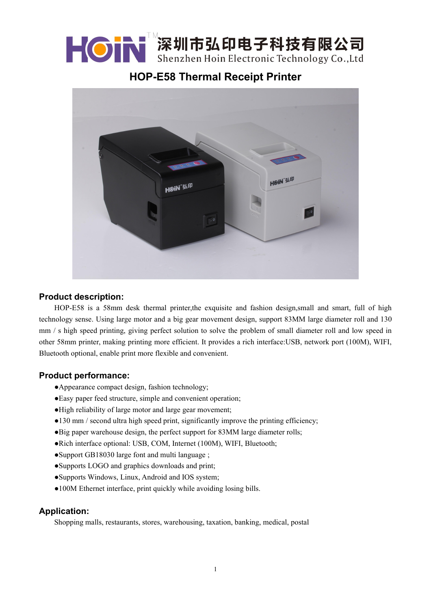

**HOP-E58 Thermal Receipt Printer**



## **Product description:**

HOP-E58 is a 58mm desk thermal printer,the exquisite and fashion design,small and smart, full of high technology sense. Using large motor and a big gear movement design, support 83MM large diameter roll and 130 mm / s high speed printing, giving perfect solution to solve the problem of small diameter roll and low speed in other 58mm printer, making printing more efficient. It provides a rich interface:USB, network port (100M), WIFI, Bluetooth optional, enable print more flexible and convenient.

## **Product performance:**

- ●Appearance compact design, fashion technology;
- ●Easy paper feed structure, simple and convenient operation;
- ●High reliability of large motor and large gear movement;
- ●130 mm / second ultra high speed print, significantly improve the printing efficiency;
- ●Big paper warehouse design, the perfect support for 83MM large diameter rolls;
- ●Rich interface optional: USB, COM, Internet (100M), WIFI, Bluetooth;
- ●Support GB18030 large font and multi language ;
- ●Supports LOGO and graphics downloads and print;
- ●Supports Windows, Linux, Android and IOS system;
- •100M Ethernet interface, print quickly while avoiding losing bills.

## **Application:**

Shopping malls, restaurants, stores, warehousing, taxation, banking, medical, postal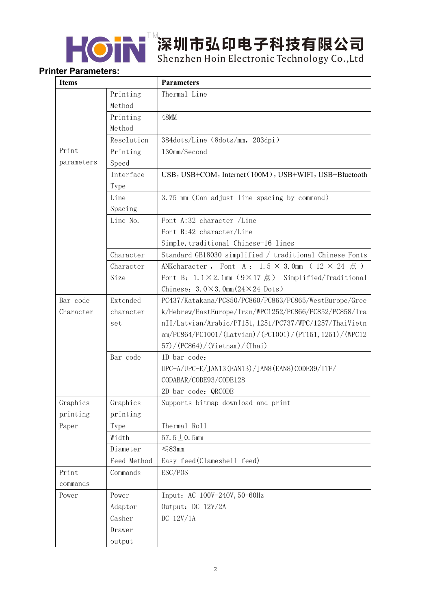

┣ O N 深圳市弘印电子科技有限公司

## **Printer Parameters:**

| <b>Items</b> |             | <b>Parameters</b>                                                            |
|--------------|-------------|------------------------------------------------------------------------------|
|              | Printing    | Thermal Line                                                                 |
|              | Method      |                                                                              |
|              | Printing    | <b>48MM</b>                                                                  |
|              | Method      |                                                                              |
|              | Resolution  | 384dots/Line (8dots/mm, 203dpi)                                              |
| Print        | Printing    | 130mm/Second                                                                 |
| parameters   | Speed       |                                                                              |
|              | Interface   | USB, USB+COM, Internet (100M), USB+WIFI, USB+Bluetooth                       |
|              | Type        |                                                                              |
|              | Line        | 3.75 mm (Can adjust line spacing by command)                                 |
|              | Spacing     |                                                                              |
|              | Line No.    | Font A:32 character /Line                                                    |
|              |             | Font B:42 character/Line                                                     |
|              |             | Simple, traditional Chinese-16 lines                                         |
|              | Character   | Standard GB18030 simplified / traditional Chinese Fonts                      |
|              | Character   | ANKcharacter, Font A: $1.5 \times 3.0$ mm ( $12 \times 24$ $\sharp$ )        |
|              | Size        | Font B: $1.1 \times 2.1$ mm $(9 \times 17 \text{ m})$ Simplified/Traditional |
|              |             | Chinese: $3.0 \times 3.0$ mm $(24 \times 24$ Dots)                           |
| Bar code     | Extended    | PC437/Katakana/PC850/PC860/PC863/PC865/WestEurope/Gree                       |
| Character    | character   | k/Hebrew/EastEurope/Iran/WPC1252/PC866/PC852/PC858/Ira                       |
|              | set         | nII/Latvian/Arabic/PT151, 1251/PC737/WPC/1257/ThaiVietn                      |
|              |             | am/PC864/PC1001/(Latvian)/(PC1001)/(PT151, 1251)/(WPC12                      |
|              |             | (57) / (PC864) / (Vietnam) / (Thai)                                          |
|              | Bar code    | 1D bar code:                                                                 |
|              |             | UPC-A/UPC-E/JAN13 (EAN13)/JAN8 (EAN8) CODE39/ITF/                            |
|              |             | CODABAR/CODE93/CODE128                                                       |
|              |             | 2D bar code: QRCODE                                                          |
| Graphics     | Graphics    | Supports bitmap download and print                                           |
| printing     | printing    |                                                                              |
| Paper        | Type        | Thermal Roll                                                                 |
|              | Width       | 57.5 $\pm$ 0.5mm                                                             |
|              | Diameter    | $\leq 83$ mm                                                                 |
|              | Feed Method | Easy feed (Clameshell feed)                                                  |
| Print        | Commands    | ESC/POS                                                                      |
| commands     |             |                                                                              |
| Power        | Power       | Input: AC 100V-240V, 50-60Hz                                                 |
|              | Adaptor     | Output: DC 12V/2A                                                            |
|              | Casher      | DC 12V/1A                                                                    |
|              | Drawer      |                                                                              |
|              | output      |                                                                              |